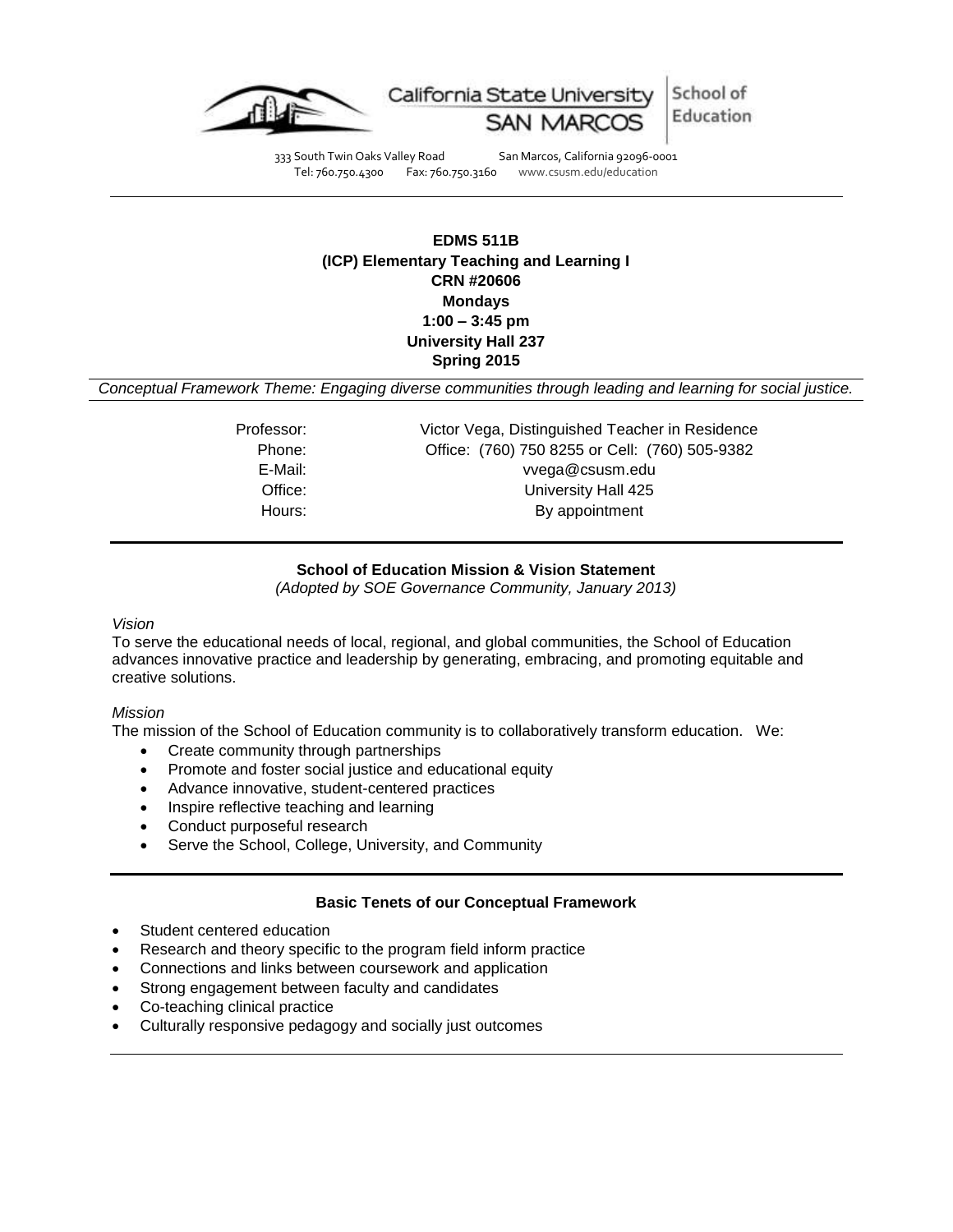



333 South Twin Oaks Valley Road San Marcos, California 92096-0001 Tel: 760.750.4300 Fax: 760.750.3160 www.csusm.edu/education

# **EDMS 511B (ICP) Elementary Teaching and Learning I CRN #20606 Mondays 1:00 – 3:45 pm University Hall 237 Spring 2015**

*Conceptual Framework Theme: Engaging diverse communities through leading and learning for social justice.*

| Professor: | Victor Vega, Distinguished Teacher in Residence |
|------------|-------------------------------------------------|
| Phone:     | Office: (760) 750 8255 or Cell: (760) 505-9382  |
| E-Mail:    | vvega@csusm.edu                                 |
| Office:    | University Hall 425                             |
| Hours:     | By appointment                                  |
|            |                                                 |

## **School of Education Mission & Vision Statement**

*(Adopted by SOE Governance Community, January 2013)*

#### *Vision*

To serve the educational needs of local, regional, and global communities, the School of Education advances innovative practice and leadership by generating, embracing, and promoting equitable and creative solutions.

#### *Mission*

The mission of the School of Education community is to collaboratively transform education. We:

- Create community through partnerships
- Promote and foster social justice and educational equity
- Advance innovative, student-centered practices
- Inspire reflective teaching and learning
- Conduct purposeful research
- Serve the School, College, University, and Community

### **Basic Tenets of our Conceptual Framework**

- Student centered education
- Research and theory specific to the program field inform practice
- Connections and links between coursework and application
- Strong engagement between faculty and candidates
- Co-teaching clinical practice
- Culturally responsive pedagogy and socially just outcomes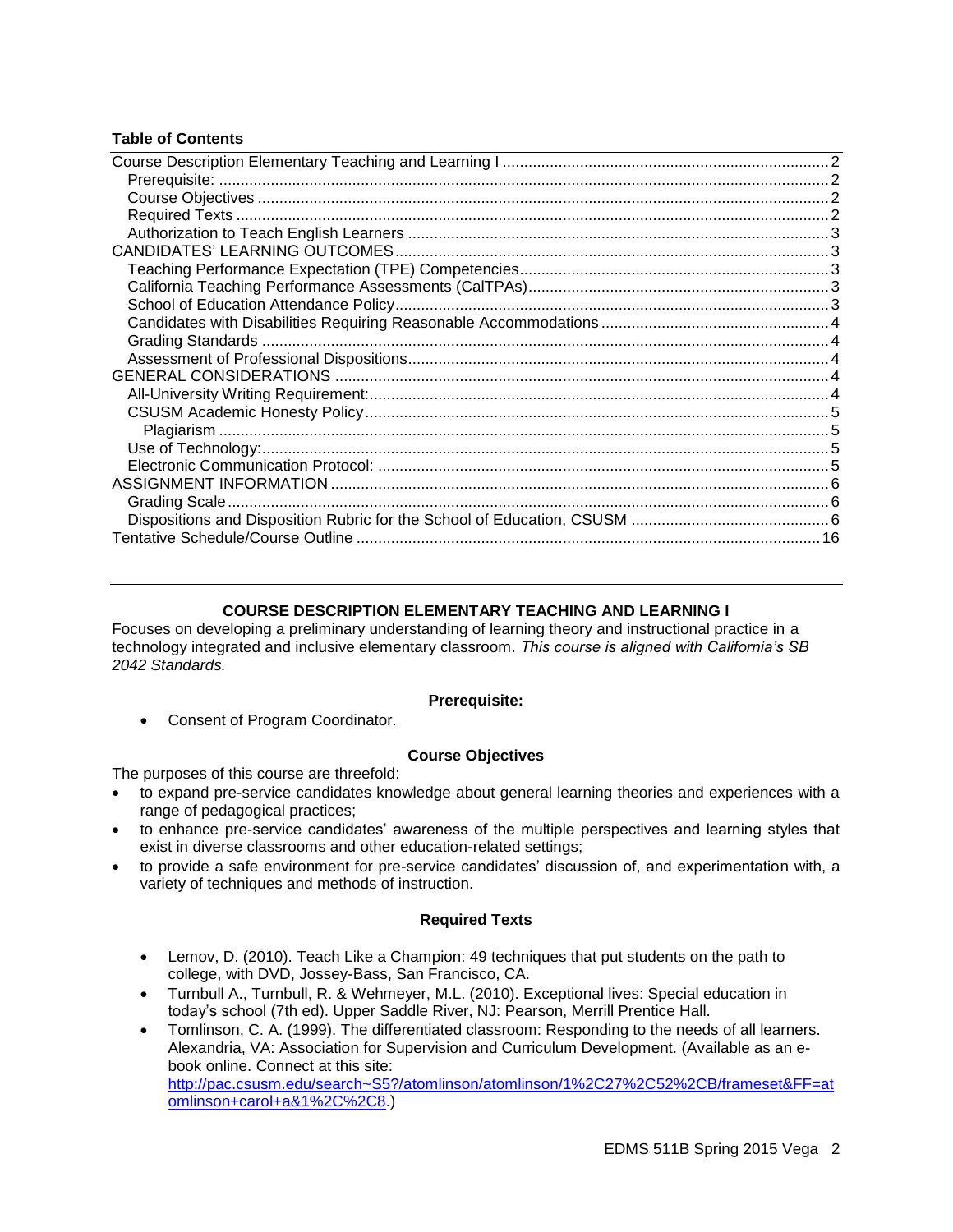## **Table of Contents**

# **COURSE DESCRIPTION ELEMENTARY TEACHING AND LEARNING I**

<span id="page-1-0"></span>Focuses on developing a preliminary understanding of learning theory and instructional practice in a technology integrated and inclusive elementary classroom. *This course is aligned with California's SB 2042 Standards.*

#### **Prerequisite:**

<span id="page-1-1"></span>Consent of Program Coordinator.

#### **Course Objectives**

<span id="page-1-2"></span>The purposes of this course are threefold:

- to expand pre-service candidates knowledge about general learning theories and experiences with a range of pedagogical practices;
- to enhance pre-service candidates' awareness of the multiple perspectives and learning styles that exist in diverse classrooms and other education-related settings;
- to provide a safe environment for pre-service candidates' discussion of, and experimentation with, a variety of techniques and methods of instruction.

### **Required Texts**

- <span id="page-1-3"></span> Lemov, D. (2010). Teach Like a Champion: 49 techniques that put students on the path to college, with DVD, Jossey-Bass, San Francisco, CA.
- Turnbull A., Turnbull, R. & Wehmeyer, M.L. (2010). Exceptional lives: Special education in today's school (7th ed). Upper Saddle River, NJ: Pearson, Merrill Prentice Hall.
- Tomlinson, C. A. (1999). The differentiated classroom: Responding to the needs of all learners. Alexandria, VA: Association for Supervision and Curriculum Development. (Available as an ebook online. Connect at this site: [http://pac.csusm.edu/search~S5?/atomlinson/atomlinson/1%2C27%2C52%2CB/frameset&FF=at](http://pac.csusm.edu/search~S5?/atomlinson/atomlinson/1%2C27%2C52%2CB/frameset&FF=atomlinson+carol+a&1%2C%2C8) [omlinson+carol+a&1%2C%2C8.](http://pac.csusm.edu/search~S5?/atomlinson/atomlinson/1%2C27%2C52%2CB/frameset&FF=atomlinson+carol+a&1%2C%2C8))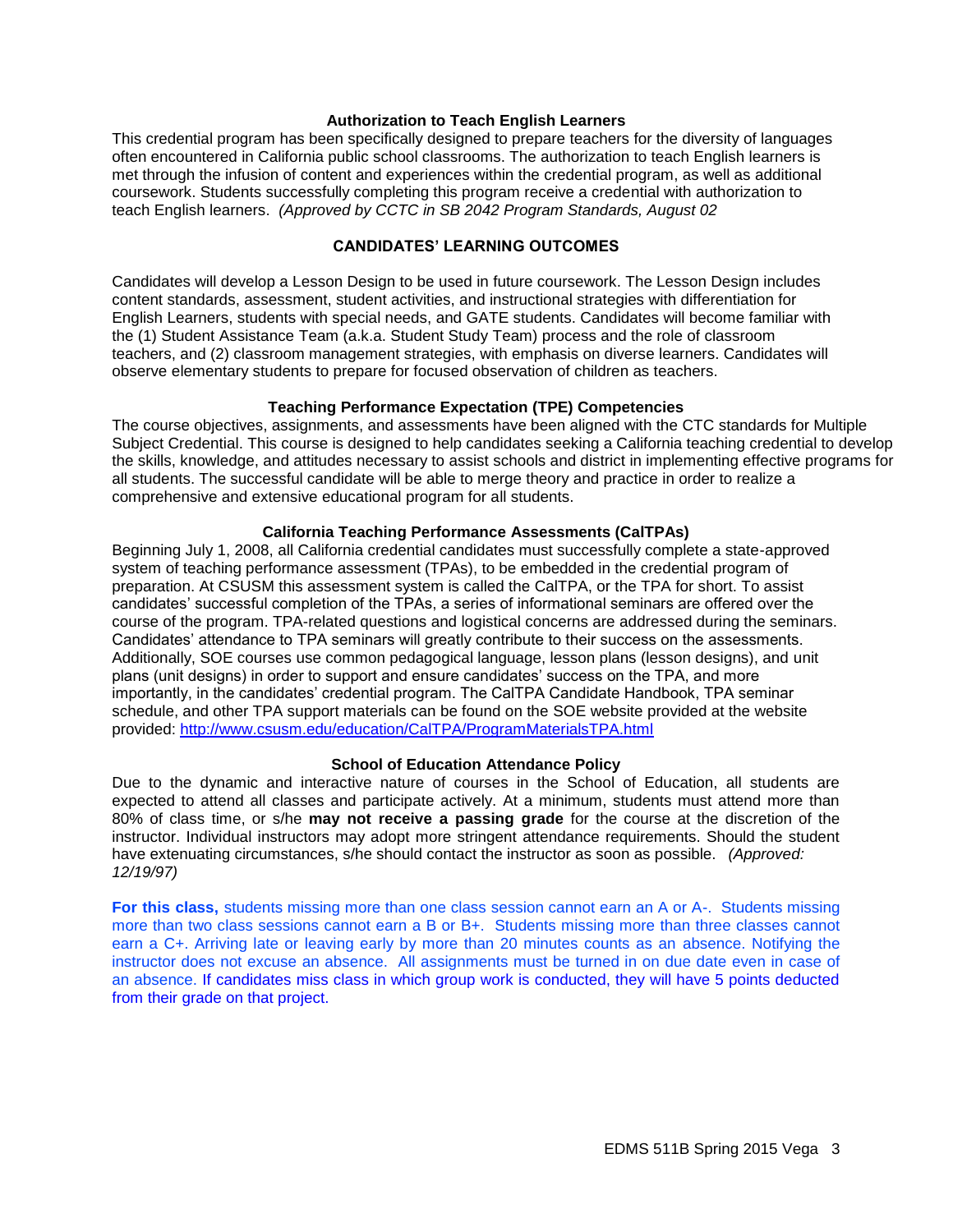#### **Authorization to Teach English Learners**

<span id="page-2-0"></span>This credential program has been specifically designed to prepare teachers for the diversity of languages often encountered in California public school classrooms. The authorization to teach English learners is met through the infusion of content and experiences within the credential program, as well as additional coursework. Students successfully completing this program receive a credential with authorization to teach English learners. *(Approved by CCTC in SB 2042 Program Standards, August 02*

#### **CANDIDATES' LEARNING OUTCOMES**

<span id="page-2-1"></span>Candidates will develop a Lesson Design to be used in future coursework. The Lesson Design includes content standards, assessment, student activities, and instructional strategies with differentiation for English Learners, students with special needs, and GATE students. Candidates will become familiar with the (1) Student Assistance Team (a.k.a. Student Study Team) process and the role of classroom teachers, and (2) classroom management strategies, with emphasis on diverse learners. Candidates will observe elementary students to prepare for focused observation of children as teachers.

#### **Teaching Performance Expectation (TPE) Competencies**

<span id="page-2-2"></span>The course objectives, assignments, and assessments have been aligned with the CTC standards for Multiple Subject Credential. This course is designed to help candidates seeking a California teaching credential to develop the skills, knowledge, and attitudes necessary to assist schools and district in implementing effective programs for all students. The successful candidate will be able to merge theory and practice in order to realize a comprehensive and extensive educational program for all students.

#### **California Teaching Performance Assessments (CalTPAs)**

<span id="page-2-3"></span>Beginning July 1, 2008, all California credential candidates must successfully complete a state-approved system of teaching performance assessment (TPAs), to be embedded in the credential program of preparation. At CSUSM this assessment system is called the CalTPA, or the TPA for short. To assist candidates' successful completion of the TPAs, a series of informational seminars are offered over the course of the program. TPA-related questions and logistical concerns are addressed during the seminars. Candidates' attendance to TPA seminars will greatly contribute to their success on the assessments. Additionally, SOE courses use common pedagogical language, lesson plans (lesson designs), and unit plans (unit designs) in order to support and ensure candidates' success on the TPA, and more importantly, in the candidates' credential program. The CalTPA Candidate Handbook, TPA seminar schedule, and other TPA support materials can be found on the SOE website provided at the website provided:<http://www.csusm.edu/education/CalTPA/ProgramMaterialsTPA.html>

#### **School of Education Attendance Policy**

<span id="page-2-4"></span>Due to the dynamic and interactive nature of courses in the School of Education, all students are expected to attend all classes and participate actively. At a minimum, students must attend more than 80% of class time, or s/he **may not receive a passing grade** for the course at the discretion of the instructor. Individual instructors may adopt more stringent attendance requirements. Should the student have extenuating circumstances, s/he should contact the instructor as soon as possible. *(Approved: 12/19/97)*

<span id="page-2-5"></span>**For this class,** students missing more than one class session cannot earn an A or A-. Students missing more than two class sessions cannot earn a B or B+. Students missing more than three classes cannot earn a C+. Arriving late or leaving early by more than 20 minutes counts as an absence. Notifying the instructor does not excuse an absence. All assignments must be turned in on due date even in case of an absence. If candidates miss class in which group work is conducted, they will have 5 points deducted from their grade on that project.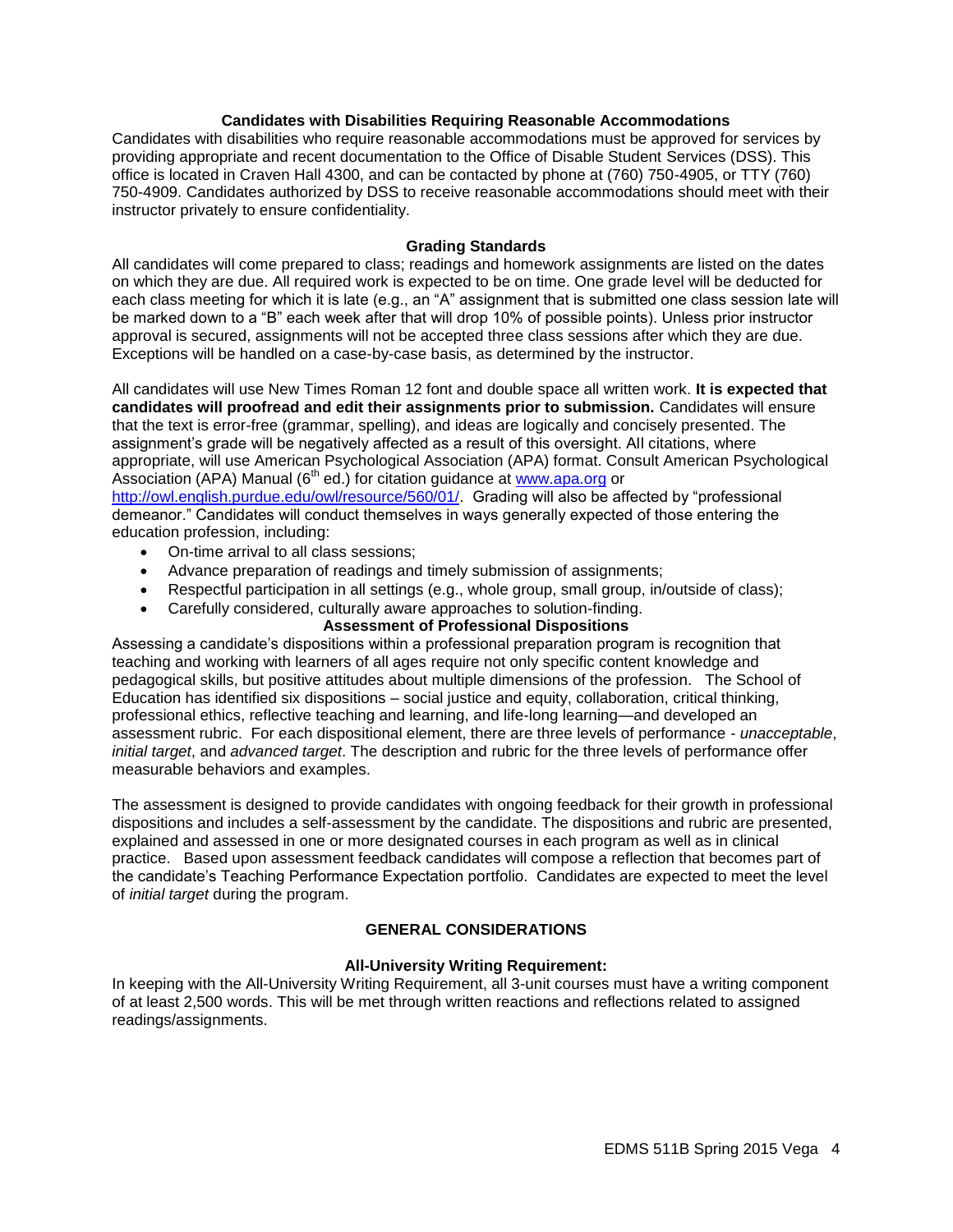## **Candidates with Disabilities Requiring Reasonable Accommodations**

Candidates with disabilities who require reasonable accommodations must be approved for services by providing appropriate and recent documentation to the Office of Disable Student Services (DSS). This office is located in Craven Hall 4300, and can be contacted by phone at (760) 750-4905, or TTY (760) 750-4909. Candidates authorized by DSS to receive reasonable accommodations should meet with their instructor privately to ensure confidentiality.

### **Grading Standards**

<span id="page-3-0"></span>All candidates will come prepared to class; readings and homework assignments are listed on the dates on which they are due. All required work is expected to be on time. One grade level will be deducted for each class meeting for which it is late (e.g., an "A" assignment that is submitted one class session late will be marked down to a "B" each week after that will drop 10% of possible points). Unless prior instructor approval is secured, assignments will not be accepted three class sessions after which they are due. Exceptions will be handled on a case-by-case basis, as determined by the instructor.

All candidates will use New Times Roman 12 font and double space all written work. **It is expected that candidates will proofread and edit their assignments prior to submission.** Candidates will ensure that the text is error-free (grammar, spelling), and ideas are logically and concisely presented. The assignment's grade will be negatively affected as a result of this oversight. All citations, where appropriate, will use American Psychological Association (APA) format. Consult American Psychological Association (APA) Manual ( $6<sup>th</sup>$  ed.) for citation guidance at [www.apa.org](http://www.apa.org/) or [http://owl.english.purdue.edu/owl/resource/560/01/.](http://owl.english.purdue.edu/owl/resource/560/01/) Grading will also be affected by "professional demeanor." Candidates will conduct themselves in ways generally expected of those entering the education profession, including:

- On-time arrival to all class sessions;
- Advance preparation of readings and timely submission of assignments;
- Respectful participation in all settings (e.g., whole group, small group, in/outside of class);
- Carefully considered, culturally aware approaches to solution-finding.

# **Assessment of Professional Dispositions**

<span id="page-3-1"></span>Assessing a candidate's dispositions within a professional preparation program is recognition that teaching and working with learners of all ages require not only specific content knowledge and pedagogical skills, but positive attitudes about multiple dimensions of the profession. The School of Education has identified six dispositions – social justice and equity, collaboration, critical thinking, professional ethics, reflective teaching and learning, and life-long learning—and developed an assessment rubric. For each dispositional element, there are three levels of performance - *unacceptable*, *initial target*, and *advanced target*. The description and rubric for the three levels of performance offer measurable behaviors and examples.

The assessment is designed to provide candidates with ongoing feedback for their growth in professional dispositions and includes a self-assessment by the candidate. The dispositions and rubric are presented, explained and assessed in one or more designated courses in each program as well as in clinical practice. Based upon assessment feedback candidates will compose a reflection that becomes part of the candidate's Teaching Performance Expectation portfolio. Candidates are expected to meet the level of *initial target* during the program.

# **GENERAL CONSIDERATIONS**

# **All-University Writing Requirement:**

<span id="page-3-4"></span><span id="page-3-3"></span><span id="page-3-2"></span>In keeping with the All-University Writing Requirement, all 3-unit courses must have a writing component of at least 2,500 words. This will be met through written reactions and reflections related to assigned readings/assignments.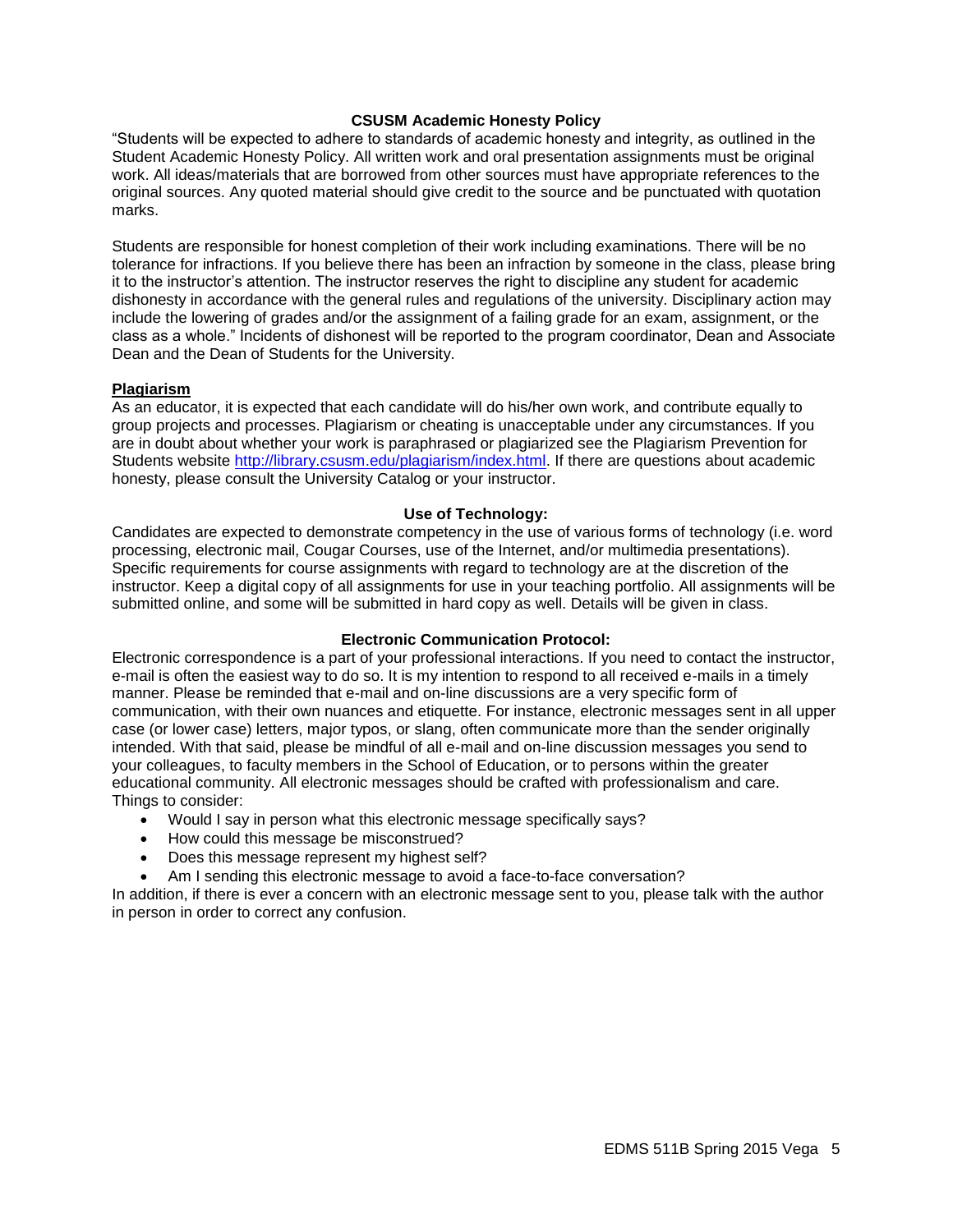### **CSUSM Academic Honesty Policy**

"Students will be expected to adhere to standards of academic honesty and integrity, as outlined in the Student Academic Honesty Policy. All written work and oral presentation assignments must be original work. All ideas/materials that are borrowed from other sources must have appropriate references to the original sources. Any quoted material should give credit to the source and be punctuated with quotation marks.

Students are responsible for honest completion of their work including examinations. There will be no tolerance for infractions. If you believe there has been an infraction by someone in the class, please bring it to the instructor's attention. The instructor reserves the right to discipline any student for academic dishonesty in accordance with the general rules and regulations of the university. Disciplinary action may include the lowering of grades and/or the assignment of a failing grade for an exam, assignment, or the class as a whole." Incidents of dishonest will be reported to the program coordinator, Dean and Associate Dean and the Dean of Students for the University.

#### <span id="page-4-0"></span>**Plagiarism**

As an educator, it is expected that each candidate will do his/her own work, and contribute equally to group projects and processes. Plagiarism or cheating is unacceptable under any circumstances. If you are in doubt about whether your work is paraphrased or plagiarized see the Plagiarism Prevention for Students website [http://library.csusm.edu/plagiarism/index.html.](http://library.csusm.edu/plagiarism/index.html) If there are questions about academic honesty, please consult the University Catalog or your instructor.

#### **Use of Technology:**

<span id="page-4-1"></span>Candidates are expected to demonstrate competency in the use of various forms of technology (i.e. word processing, electronic mail, Cougar Courses, use of the Internet, and/or multimedia presentations). Specific requirements for course assignments with regard to technology are at the discretion of the instructor. Keep a digital copy of all assignments for use in your teaching portfolio. All assignments will be submitted online, and some will be submitted in hard copy as well. Details will be given in class.

#### **Electronic Communication Protocol:**

<span id="page-4-2"></span>Electronic correspondence is a part of your professional interactions. If you need to contact the instructor, e-mail is often the easiest way to do so. It is my intention to respond to all received e-mails in a timely manner. Please be reminded that e-mail and on-line discussions are a very specific form of communication, with their own nuances and etiquette. For instance, electronic messages sent in all upper case (or lower case) letters, major typos, or slang, often communicate more than the sender originally intended. With that said, please be mindful of all e-mail and on-line discussion messages you send to your colleagues, to faculty members in the School of Education, or to persons within the greater educational community. All electronic messages should be crafted with professionalism and care. Things to consider:

- Would I say in person what this electronic message specifically says?
- How could this message be misconstrued?
- Does this message represent my highest self?
- Am I sending this electronic message to avoid a face-to-face conversation?

<span id="page-4-3"></span>In addition, if there is ever a concern with an electronic message sent to you, please talk with the author in person in order to correct any confusion.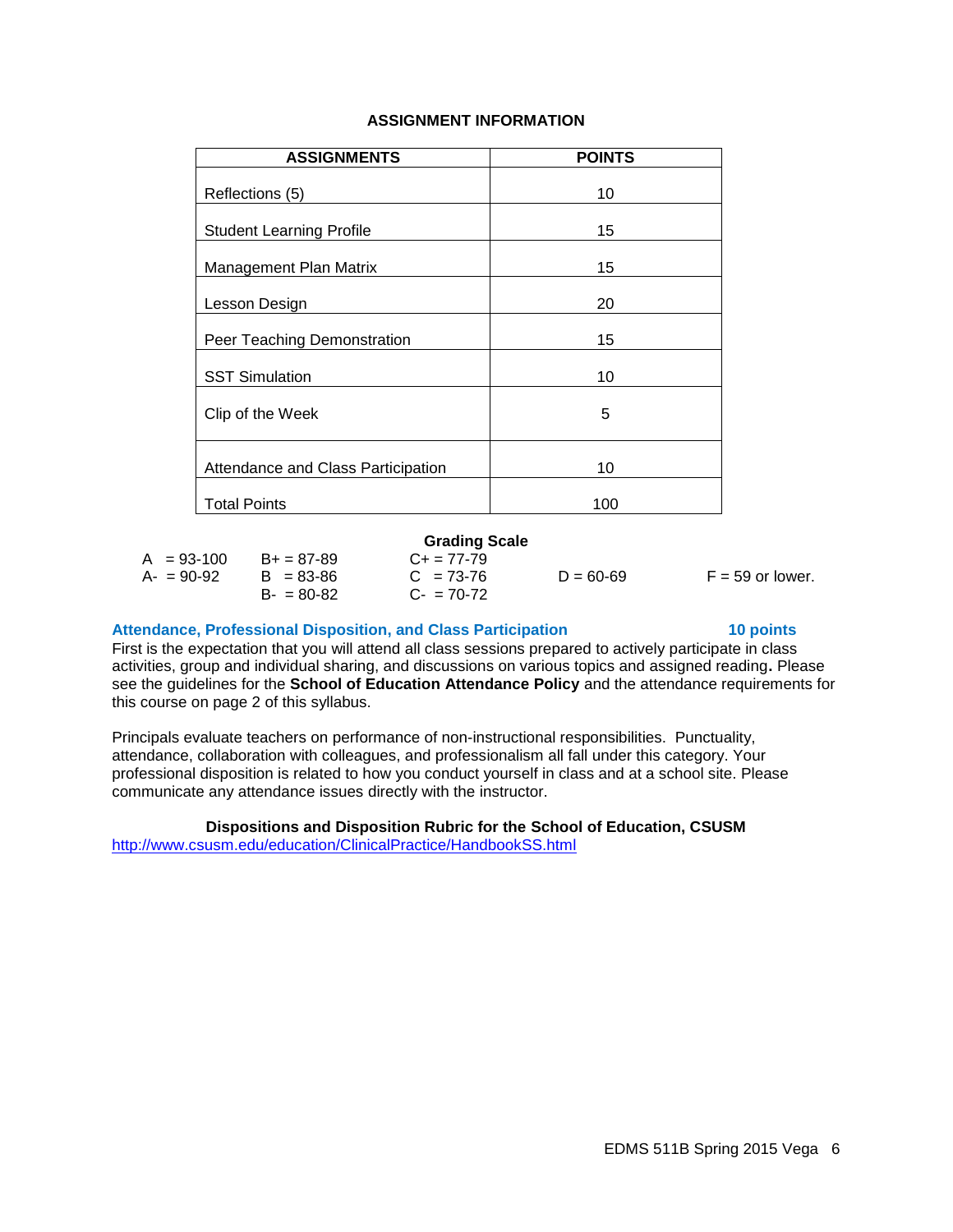## **ASSIGNMENT INFORMATION**

| <b>ASSIGNMENTS</b>                 | <b>POINTS</b> |
|------------------------------------|---------------|
| Reflections (5)                    | 10            |
| <b>Student Learning Profile</b>    | 15            |
| Management Plan Matrix             | 15            |
| Lesson Design                      | 20            |
| Peer Teaching Demonstration        | 15            |
| <b>SST Simulation</b>              | 10            |
| Clip of the Week                   | 5             |
| Attendance and Class Participation | 10            |
| <b>Total Points</b>                | 100           |

#### **Grading Scale**

<span id="page-5-0"></span>

| $A = 93-100$  | $B+ = 87-89$  |
|---------------|---------------|
| $A - 90 - 92$ | $B = 83 - 86$ |
|               | $B - 80 - 82$ |

 $C+ = 77-79$  $C = 73-76$  $C - 70-72$ 

 $D = 60-69$  F = 59 or lower.

#### **Attendance, Professional Disposition, and Class Participation 10 points**

First is the expectation that you will attend all class sessions prepared to actively participate in class activities, group and individual sharing, and discussions on various topics and assigned reading**.** Please see the guidelines for the **School of Education Attendance Policy** and the attendance requirements for this course on page 2 of this syllabus.

Principals evaluate teachers on performance of non-instructional responsibilities. Punctuality, attendance, collaboration with colleagues, and professionalism all fall under this category. Your professional disposition is related to how you conduct yourself in class and at a school site. Please communicate any attendance issues directly with the instructor.

### **Dispositions and Disposition Rubric for the School of Education, CSUSM**

<span id="page-5-1"></span><http://www.csusm.edu/education/ClinicalPractice/HandbookSS.html>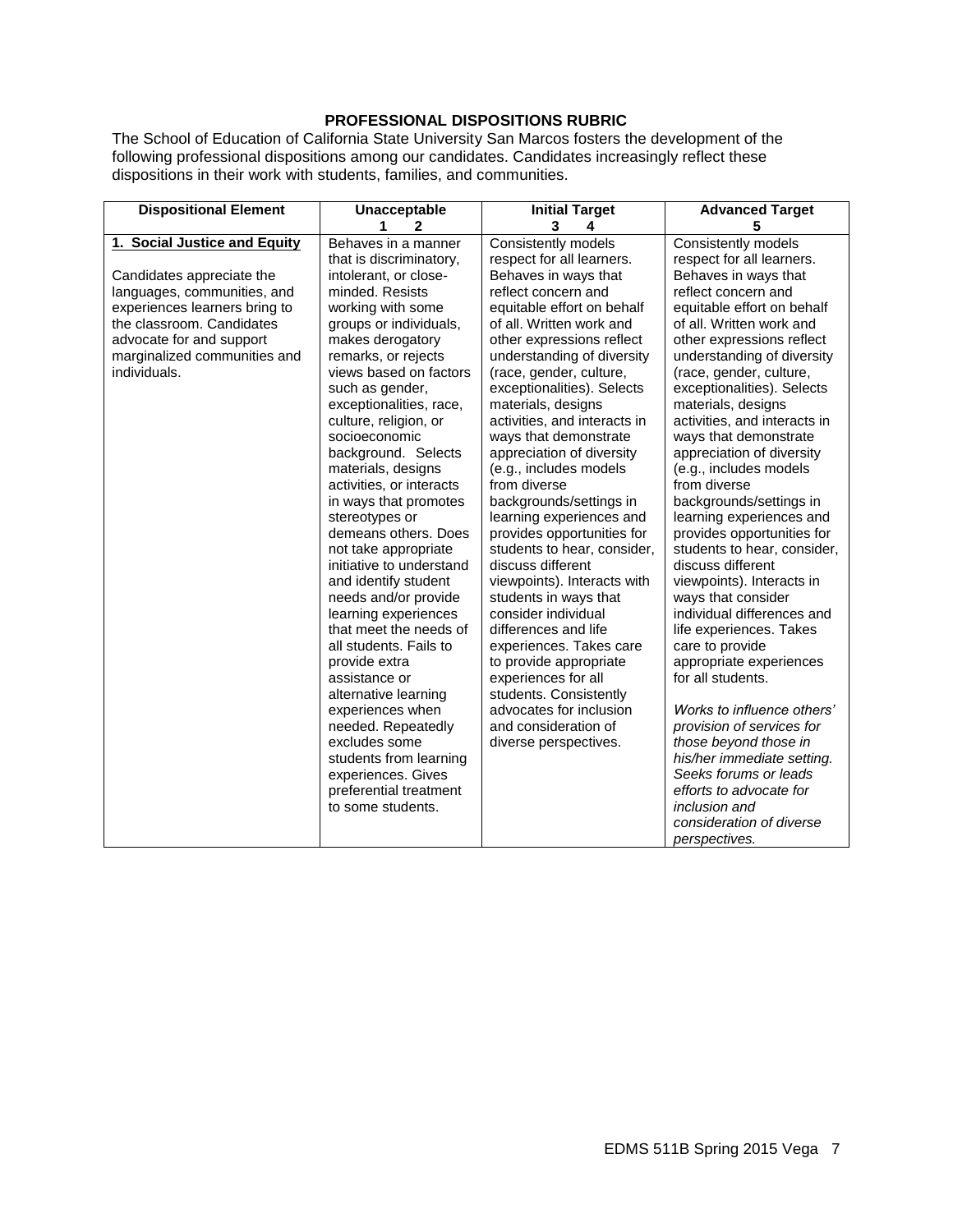# **PROFESSIONAL DISPOSITIONS RUBRIC**

The School of Education of California State University San Marcos fosters the development of the following professional dispositions among our candidates. Candidates increasingly reflect these dispositions in their work with students, families, and communities.

| <b>Dispositional Element</b>  | Unacceptable                                 | <b>Initial Target</b>        | <b>Advanced Target</b>                              |
|-------------------------------|----------------------------------------------|------------------------------|-----------------------------------------------------|
|                               | 1<br>2                                       | 3<br>4                       | 5                                                   |
| 1. Social Justice and Equity  | Behaves in a manner                          | Consistently models          | Consistently models                                 |
|                               | that is discriminatory,                      | respect for all learners.    | respect for all learners.                           |
| Candidates appreciate the     | intolerant, or close-                        | Behaves in ways that         | Behaves in ways that                                |
| languages, communities, and   | minded, Resists                              | reflect concern and          | reflect concern and                                 |
| experiences learners bring to | working with some                            | equitable effort on behalf   | equitable effort on behalf                          |
| the classroom. Candidates     | groups or individuals,                       | of all. Written work and     | of all. Written work and                            |
| advocate for and support      | makes derogatory                             | other expressions reflect    | other expressions reflect                           |
| marginalized communities and  | remarks, or rejects                          | understanding of diversity   | understanding of diversity                          |
| individuals.                  | views based on factors                       | (race, gender, culture,      | (race, gender, culture,                             |
|                               | such as gender,                              | exceptionalities). Selects   | exceptionalities). Selects                          |
|                               | exceptionalities, race,                      | materials, designs           | materials, designs                                  |
|                               | culture, religion, or                        | activities, and interacts in | activities, and interacts in                        |
|                               | socioeconomic                                | ways that demonstrate        | ways that demonstrate                               |
|                               | background. Selects                          | appreciation of diversity    | appreciation of diversity                           |
|                               | materials, designs                           | (e.g., includes models       | (e.g., includes models                              |
|                               | activities, or interacts                     | from diverse                 | from diverse                                        |
|                               | in ways that promotes                        | backgrounds/settings in      | backgrounds/settings in                             |
|                               | stereotypes or                               | learning experiences and     | learning experiences and                            |
|                               | demeans others. Does                         | provides opportunities for   | provides opportunities for                          |
|                               | not take appropriate                         | students to hear, consider,  | students to hear, consider,                         |
|                               | initiative to understand                     | discuss different            | discuss different                                   |
|                               | and identify student                         | viewpoints). Interacts with  | viewpoints). Interacts in                           |
|                               | needs and/or provide                         | students in ways that        | ways that consider                                  |
|                               | learning experiences                         | consider individual          | individual differences and                          |
|                               | that meet the needs of                       | differences and life         | life experiences. Takes                             |
|                               | all students. Fails to                       | experiences. Takes care      | care to provide                                     |
|                               | provide extra                                | to provide appropriate       | appropriate experiences                             |
|                               | assistance or                                | experiences for all          | for all students.                                   |
|                               | alternative learning                         | students. Consistently       |                                                     |
|                               | experiences when                             | advocates for inclusion      | Works to influence others'                          |
|                               | needed. Repeatedly<br>excludes some          | and consideration of         | provision of services for                           |
|                               |                                              | diverse perspectives.        | those beyond those in<br>his/her immediate setting. |
|                               | students from learning                       |                              | Seeks forums or leads                               |
|                               | experiences. Gives<br>preferential treatment |                              | efforts to advocate for                             |
|                               | to some students.                            |                              | <i>inclusion</i> and                                |
|                               |                                              |                              | consideration of diverse                            |
|                               |                                              |                              |                                                     |
|                               |                                              |                              | perspectives.                                       |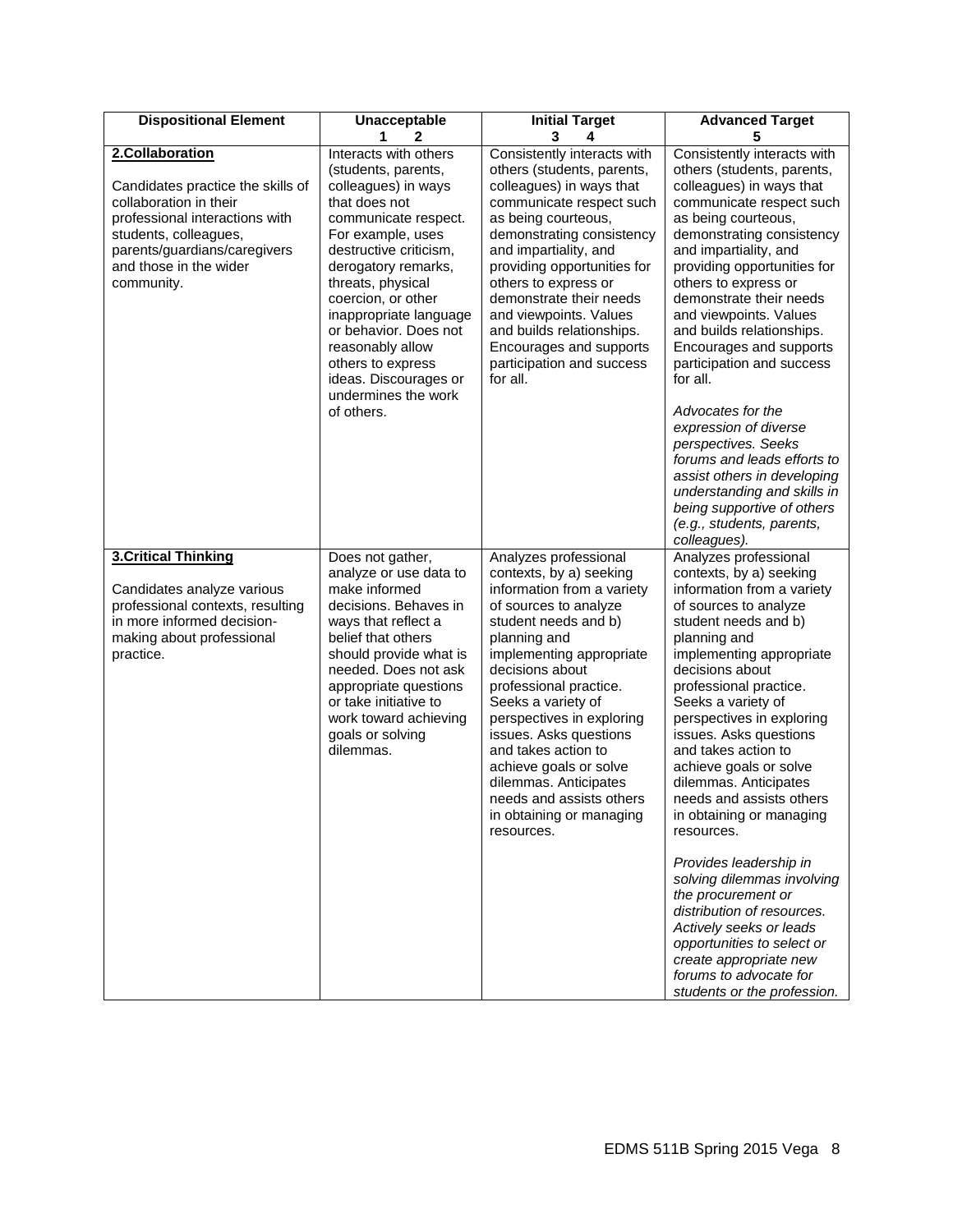| <b>Dispositional Element</b>                                                                                                                                                                                      | Unacceptable<br>1.<br>$\mathbf{2}$                                                                                                                                                                                                                                                                                                                                                      | <b>Initial Target</b><br>3<br>4                                                                                                                                                                                                                                                                                                                                                                                                                       | <b>Advanced Target</b><br>5                                                                                                                                                                                                                                                                                                                                                                                                                                                                                                                                                                                                              |
|-------------------------------------------------------------------------------------------------------------------------------------------------------------------------------------------------------------------|-----------------------------------------------------------------------------------------------------------------------------------------------------------------------------------------------------------------------------------------------------------------------------------------------------------------------------------------------------------------------------------------|-------------------------------------------------------------------------------------------------------------------------------------------------------------------------------------------------------------------------------------------------------------------------------------------------------------------------------------------------------------------------------------------------------------------------------------------------------|------------------------------------------------------------------------------------------------------------------------------------------------------------------------------------------------------------------------------------------------------------------------------------------------------------------------------------------------------------------------------------------------------------------------------------------------------------------------------------------------------------------------------------------------------------------------------------------------------------------------------------------|
| 2.Collaboration<br>Candidates practice the skills of<br>collaboration in their<br>professional interactions with<br>students, colleagues,<br>parents/guardians/caregivers<br>and those in the wider<br>community. | Interacts with others<br>(students, parents,<br>colleagues) in ways<br>that does not<br>communicate respect.<br>For example, uses<br>destructive criticism,<br>derogatory remarks,<br>threats, physical<br>coercion, or other<br>inappropriate language<br>or behavior. Does not<br>reasonably allow<br>others to express<br>ideas. Discourages or<br>undermines the work<br>of others. | Consistently interacts with<br>others (students, parents,<br>colleagues) in ways that<br>communicate respect such<br>as being courteous,<br>demonstrating consistency<br>and impartiality, and<br>providing opportunities for<br>others to express or<br>demonstrate their needs<br>and viewpoints. Values<br>and builds relationships.<br>Encourages and supports<br>participation and success<br>for all.                                           | Consistently interacts with<br>others (students, parents,<br>colleagues) in ways that<br>communicate respect such<br>as being courteous,<br>demonstrating consistency<br>and impartiality, and<br>providing opportunities for<br>others to express or<br>demonstrate their needs<br>and viewpoints. Values<br>and builds relationships.<br>Encourages and supports<br>participation and success<br>for all.<br>Advocates for the<br>expression of diverse<br>perspectives. Seeks<br>forums and leads efforts to<br>assist others in developing<br>understanding and skills in<br>being supportive of others<br>(e.g., students, parents, |
|                                                                                                                                                                                                                   |                                                                                                                                                                                                                                                                                                                                                                                         |                                                                                                                                                                                                                                                                                                                                                                                                                                                       | colleagues).                                                                                                                                                                                                                                                                                                                                                                                                                                                                                                                                                                                                                             |
| <b>3.Critical Thinking</b><br>Candidates analyze various<br>professional contexts, resulting<br>in more informed decision-<br>making about professional<br>practice.                                              | Does not gather,<br>analyze or use data to<br>make informed<br>decisions. Behaves in<br>ways that reflect a<br>belief that others<br>should provide what is<br>needed. Does not ask<br>appropriate questions<br>or take initiative to<br>work toward achieving<br>goals or solving<br>dilemmas.                                                                                         | Analyzes professional<br>contexts, by a) seeking<br>information from a variety<br>of sources to analyze<br>student needs and b)<br>planning and<br>implementing appropriate<br>decisions about<br>professional practice.<br>Seeks a variety of<br>perspectives in exploring<br>issues. Asks questions<br>and takes action to<br>achieve goals or solve<br>dilemmas. Anticipates<br>needs and assists others<br>in obtaining or managing<br>resources. | Analyzes professional<br>contexts, by a) seeking<br>information from a variety<br>of sources to analyze<br>student needs and b)<br>planning and<br>implementing appropriate<br>decisions about<br>professional practice.<br>Seeks a variety of<br>perspectives in exploring<br>issues. Asks questions<br>and takes action to<br>achieve goals or solve<br>dilemmas. Anticipates<br>needs and assists others<br>in obtaining or managing<br>resources.                                                                                                                                                                                    |
|                                                                                                                                                                                                                   |                                                                                                                                                                                                                                                                                                                                                                                         |                                                                                                                                                                                                                                                                                                                                                                                                                                                       | Provides leadership in<br>solving dilemmas involving<br>the procurement or<br>distribution of resources.<br>Actively seeks or leads<br>opportunities to select or<br>create appropriate new<br>forums to advocate for<br>students or the profession.                                                                                                                                                                                                                                                                                                                                                                                     |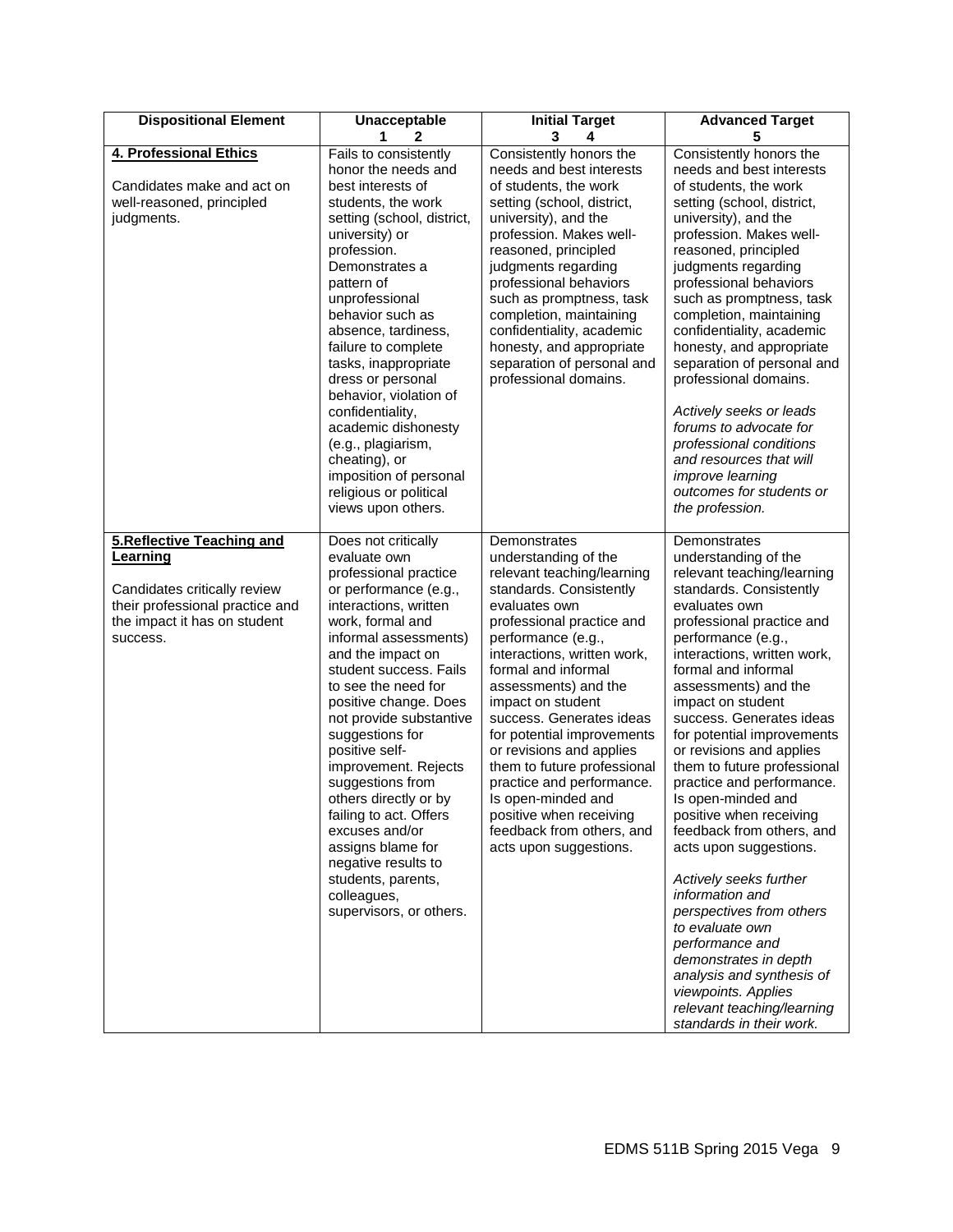| <b>Dispositional Element</b>                                                                                                                          | Unacceptable<br>1<br>$\mathbf{2}$                                                                                                                                                                                                                                                                                                                                                                                                                                                                                                                       | <b>Initial Target</b><br>3<br>4                                                                                                                                                                                                                                                                                                                                                                                                                                                                                                | <b>Advanced Target</b><br>5                                                                                                                                                                                                                                                                                                                                                                                                                                                                                                                                                                                                                                                                                                                                                          |
|-------------------------------------------------------------------------------------------------------------------------------------------------------|---------------------------------------------------------------------------------------------------------------------------------------------------------------------------------------------------------------------------------------------------------------------------------------------------------------------------------------------------------------------------------------------------------------------------------------------------------------------------------------------------------------------------------------------------------|--------------------------------------------------------------------------------------------------------------------------------------------------------------------------------------------------------------------------------------------------------------------------------------------------------------------------------------------------------------------------------------------------------------------------------------------------------------------------------------------------------------------------------|--------------------------------------------------------------------------------------------------------------------------------------------------------------------------------------------------------------------------------------------------------------------------------------------------------------------------------------------------------------------------------------------------------------------------------------------------------------------------------------------------------------------------------------------------------------------------------------------------------------------------------------------------------------------------------------------------------------------------------------------------------------------------------------|
| 4. Professional Ethics<br>Candidates make and act on<br>well-reasoned, principled<br>judgments.                                                       | Fails to consistently<br>honor the needs and<br>best interests of<br>students, the work<br>setting (school, district,<br>university) or<br>profession.<br>Demonstrates a<br>pattern of<br>unprofessional<br>behavior such as<br>absence, tardiness,<br>failure to complete<br>tasks, inappropriate<br>dress or personal<br>behavior, violation of<br>confidentiality,<br>academic dishonesty<br>(e.g., plagiarism,<br>cheating), or<br>imposition of personal<br>religious or political<br>views upon others.                                           | Consistently honors the<br>needs and best interests<br>of students, the work<br>setting (school, district,<br>university), and the<br>profession. Makes well-<br>reasoned, principled<br>judgments regarding<br>professional behaviors<br>such as promptness, task<br>completion, maintaining<br>confidentiality, academic<br>honesty, and appropriate<br>separation of personal and<br>professional domains.                                                                                                                  | Consistently honors the<br>needs and best interests<br>of students, the work<br>setting (school, district,<br>university), and the<br>profession. Makes well-<br>reasoned, principled<br>judgments regarding<br>professional behaviors<br>such as promptness, task<br>completion, maintaining<br>confidentiality, academic<br>honesty, and appropriate<br>separation of personal and<br>professional domains.<br>Actively seeks or leads<br>forums to advocate for<br>professional conditions<br>and resources that will<br><i>improve learning</i><br>outcomes for students or<br>the profession.                                                                                                                                                                                   |
| 5. Reflective Teaching and<br>Learning<br>Candidates critically review<br>their professional practice and<br>the impact it has on student<br>success. | Does not critically<br>evaluate own<br>professional practice<br>or performance (e.g.,<br>interactions, written<br>work, formal and<br>informal assessments)<br>and the impact on<br>student success. Fails<br>to see the need for<br>positive change. Does<br>not provide substantive<br>suggestions for<br>positive self-<br>improvement. Rejects<br>suggestions from<br>others directly or by<br>failing to act. Offers<br>excuses and/or<br>assigns blame for<br>negative results to<br>students, parents,<br>colleagues,<br>supervisors, or others. | Demonstrates<br>understanding of the<br>relevant teaching/learning<br>standards. Consistently<br>evaluates own<br>professional practice and<br>performance (e.g.,<br>interactions, written work,<br>formal and informal<br>assessments) and the<br>impact on student<br>success. Generates ideas<br>for potential improvements<br>or revisions and applies<br>them to future professional<br>practice and performance.<br>Is open-minded and<br>positive when receiving<br>feedback from others, and<br>acts upon suggestions. | Demonstrates<br>understanding of the<br>relevant teaching/learning<br>standards. Consistently<br>evaluates own<br>professional practice and<br>performance (e.g.,<br>interactions, written work,<br>formal and informal<br>assessments) and the<br>impact on student<br>success. Generates ideas<br>for potential improvements<br>or revisions and applies<br>them to future professional<br>practice and performance.<br>Is open-minded and<br>positive when receiving<br>feedback from others, and<br>acts upon suggestions.<br>Actively seeks further<br>information and<br>perspectives from others<br>to evaluate own<br>performance and<br>demonstrates in depth<br>analysis and synthesis of<br>viewpoints. Applies<br>relevant teaching/learning<br>standards in their work. |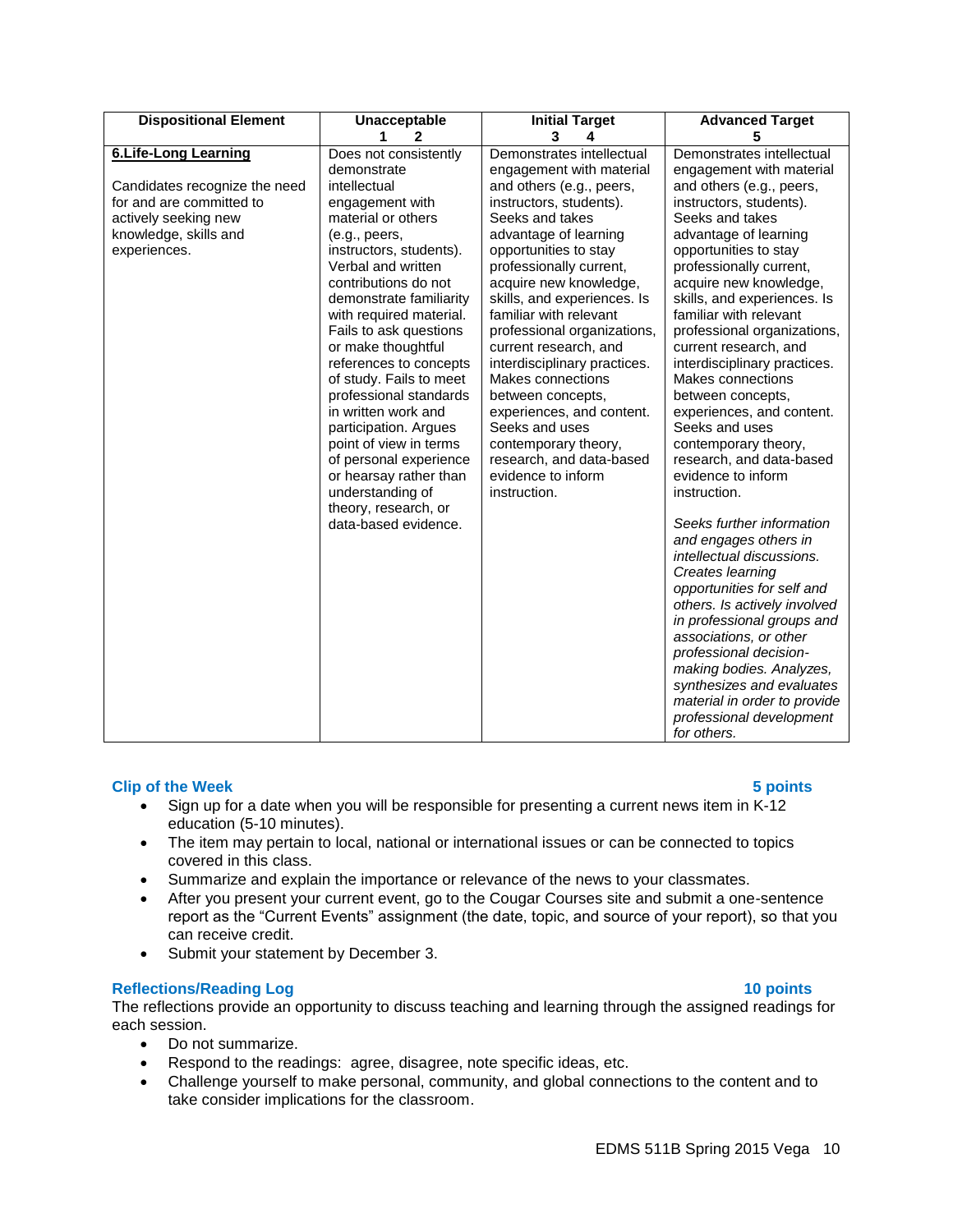| <b>Dispositional Element</b>                                                                                                                              | Unacceptable                                                                                                                                                                                                                                                                                          | <b>Initial Target</b>                                                                                                                                                                                                                                                                                     | <b>Advanced Target</b>                                                                                                                                                                                                                                                                                                                                                                  |
|-----------------------------------------------------------------------------------------------------------------------------------------------------------|-------------------------------------------------------------------------------------------------------------------------------------------------------------------------------------------------------------------------------------------------------------------------------------------------------|-----------------------------------------------------------------------------------------------------------------------------------------------------------------------------------------------------------------------------------------------------------------------------------------------------------|-----------------------------------------------------------------------------------------------------------------------------------------------------------------------------------------------------------------------------------------------------------------------------------------------------------------------------------------------------------------------------------------|
| <b>6.Life-Long Learning</b><br>Candidates recognize the need<br>for and are committed to<br>actively seeking new<br>knowledge, skills and<br>experiences. | 1.<br>2<br>Does not consistently<br>demonstrate<br>intellectual<br>engagement with<br>material or others<br>(e.g., peers,<br>instructors, students).<br>Verbal and written<br>contributions do not<br>demonstrate familiarity<br>with required material.                                              | 3<br>4<br>Demonstrates intellectual<br>engagement with material<br>and others (e.g., peers,<br>instructors, students).<br>Seeks and takes<br>advantage of learning<br>opportunities to stay<br>professionally current,<br>acquire new knowledge,<br>skills, and experiences. Is<br>familiar with relevant | 5<br>Demonstrates intellectual<br>engagement with material<br>and others (e.g., peers,<br>instructors, students).<br>Seeks and takes<br>advantage of learning<br>opportunities to stay<br>professionally current,<br>acquire new knowledge,<br>skills, and experiences. Is<br>familiar with relevant                                                                                    |
|                                                                                                                                                           | Fails to ask questions<br>or make thoughtful<br>references to concepts<br>of study. Fails to meet<br>professional standards<br>in written work and<br>participation. Argues<br>point of view in terms<br>of personal experience<br>or hearsay rather than<br>understanding of<br>theory, research, or | professional organizations,<br>current research, and<br>interdisciplinary practices.<br>Makes connections<br>between concepts,<br>experiences, and content.<br>Seeks and uses<br>contemporary theory,<br>research, and data-based<br>evidence to inform<br>instruction.                                   | professional organizations,<br>current research, and<br>interdisciplinary practices.<br>Makes connections<br>between concepts,<br>experiences, and content.<br>Seeks and uses<br>contemporary theory,<br>research, and data-based<br>evidence to inform<br>instruction.                                                                                                                 |
|                                                                                                                                                           | data-based evidence.                                                                                                                                                                                                                                                                                  |                                                                                                                                                                                                                                                                                                           | Seeks further information<br>and engages others in<br>intellectual discussions.<br>Creates learning<br>opportunities for self and<br>others. Is actively involved<br>in professional groups and<br>associations, or other<br>professional decision-<br>making bodies. Analyzes,<br>synthesizes and evaluates<br>material in order to provide<br>professional development<br>for others. |

# **Clip of the Week 5 points**

- Sign up for a date when you will be responsible for presenting a current news item in K-12 education (5-10 minutes).
- The item may pertain to local, national or international issues or can be connected to topics covered in this class.
- Summarize and explain the importance or relevance of the news to your classmates.
- After you present your current event, go to the Cougar Courses site and submit a one-sentence report as the "Current Events" assignment (the date, topic, and source of your report), so that you can receive credit.
- Submit your statement by December 3.

#### **Reflections/Reading Log 10 points**

The reflections provide an opportunity to discuss teaching and learning through the assigned readings for each session.

- Do not summarize.
- Respond to the readings: agree, disagree, note specific ideas, etc.
- Challenge yourself to make personal, community, and global connections to the content and to take consider implications for the classroom.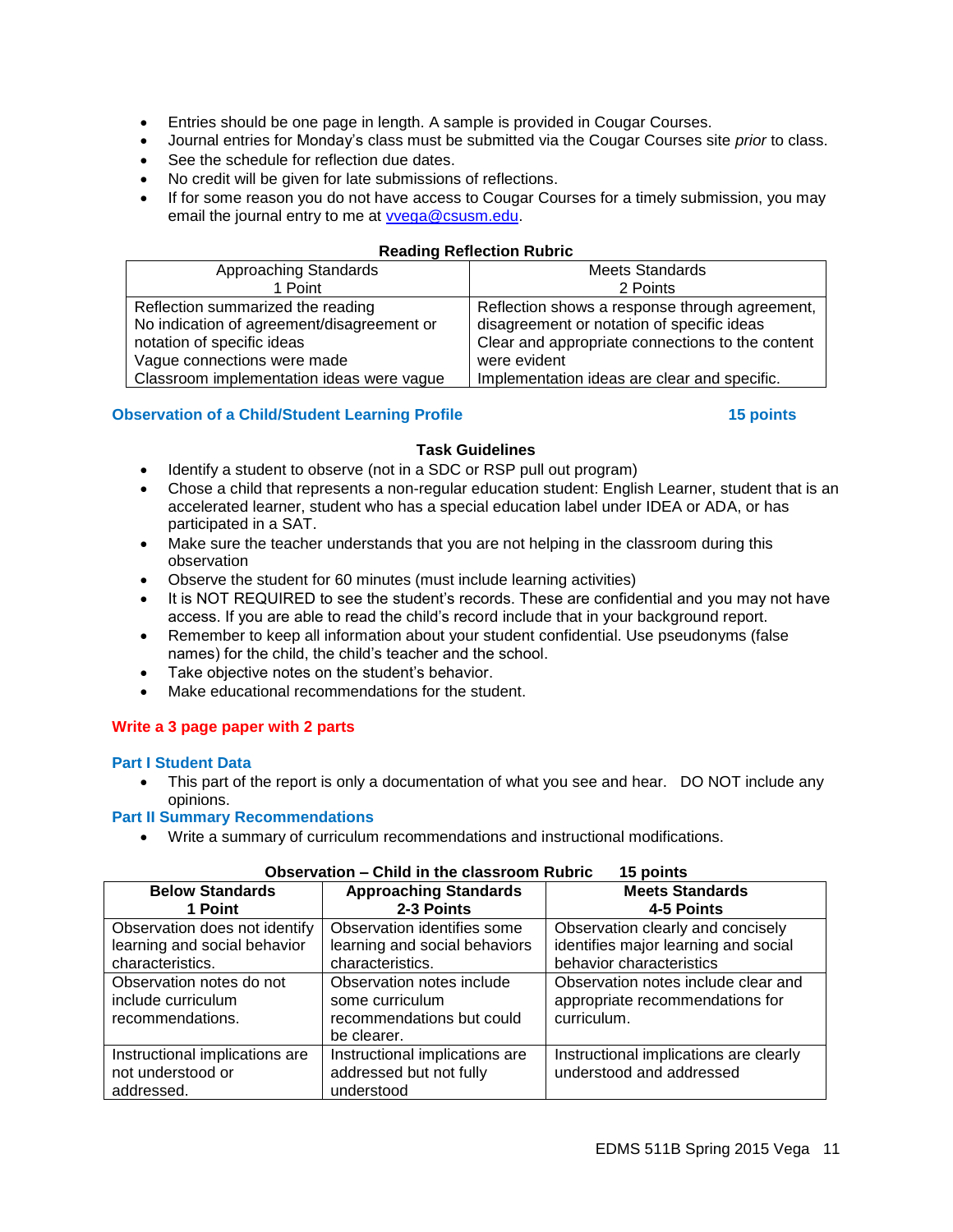- Entries should be one page in length. A sample is provided in Cougar Courses.
- Journal entries for Monday's class must be submitted via the Cougar Courses site *prior* to class.
- See the schedule for reflection due dates.
- No credit will be given for late submissions of reflections.
- If for some reason you do not have access to Cougar Courses for a timely submission, you may email the journal entry to me at [vvega@csusm.edu.](mailto:vvega@csusm.edu)

#### **Reading Reflection Rubric**

| Approaching Standards                      | <b>Meets Standards</b>                           |
|--------------------------------------------|--------------------------------------------------|
| 1 Point                                    | 2 Points                                         |
| Reflection summarized the reading          | Reflection shows a response through agreement,   |
| No indication of agreement/disagreement or | disagreement or notation of specific ideas       |
| notation of specific ideas                 | Clear and appropriate connections to the content |
| Vague connections were made                | were evident                                     |
| Classroom implementation ideas were vague  | Implementation ideas are clear and specific.     |

## **Observation of a Child/Student Learning Profile 15 points**

#### **Task Guidelines**

- Identify a student to observe (not in a SDC or RSP pull out program)
- Chose a child that represents a non-regular education student: English Learner, student that is an accelerated learner, student who has a special education label under IDEA or ADA, or has participated in a SAT.
- Make sure the teacher understands that you are not helping in the classroom during this observation
- Observe the student for 60 minutes (must include learning activities)
- It is NOT REQUIRED to see the student's records. These are confidential and you may not have access. If you are able to read the child's record include that in your background report.
- Remember to keep all information about your student confidential. Use pseudonyms (false names) for the child, the child's teacher and the school.
- Take objective notes on the student's behavior.
- Make educational recommendations for the student.

# **Write a 3 page paper with 2 parts**

#### **Part I Student Data**

• This part of the report is only a documentation of what you see and hear. DO NOT include any opinions.

# **Part II Summary Recommendations**

Write a summary of curriculum recommendations and instructional modifications.

# **Observation – Child in the classroom Rubric 15 points**

| <b>Below Standards</b><br>1 Point                                                 | <b>Approaching Standards</b><br>2-3 Points                                               | <b>Meets Standards</b><br>4-5 Points                                                                  |  |
|-----------------------------------------------------------------------------------|------------------------------------------------------------------------------------------|-------------------------------------------------------------------------------------------------------|--|
| Observation does not identify<br>learning and social behavior<br>characteristics. | Observation identifies some<br>learning and social behaviors<br>characteristics.         | Observation clearly and concisely<br>identifies major learning and social<br>behavior characteristics |  |
| Observation notes do not<br>include curriculum<br>recommendations.                | Observation notes include<br>some curriculum<br>recommendations but could<br>be clearer. | Observation notes include clear and<br>appropriate recommendations for<br>curriculum.                 |  |
| Instructional implications are<br>not understood or<br>addressed.                 | Instructional implications are<br>addressed but not fully<br>understood                  | Instructional implications are clearly<br>understood and addressed                                    |  |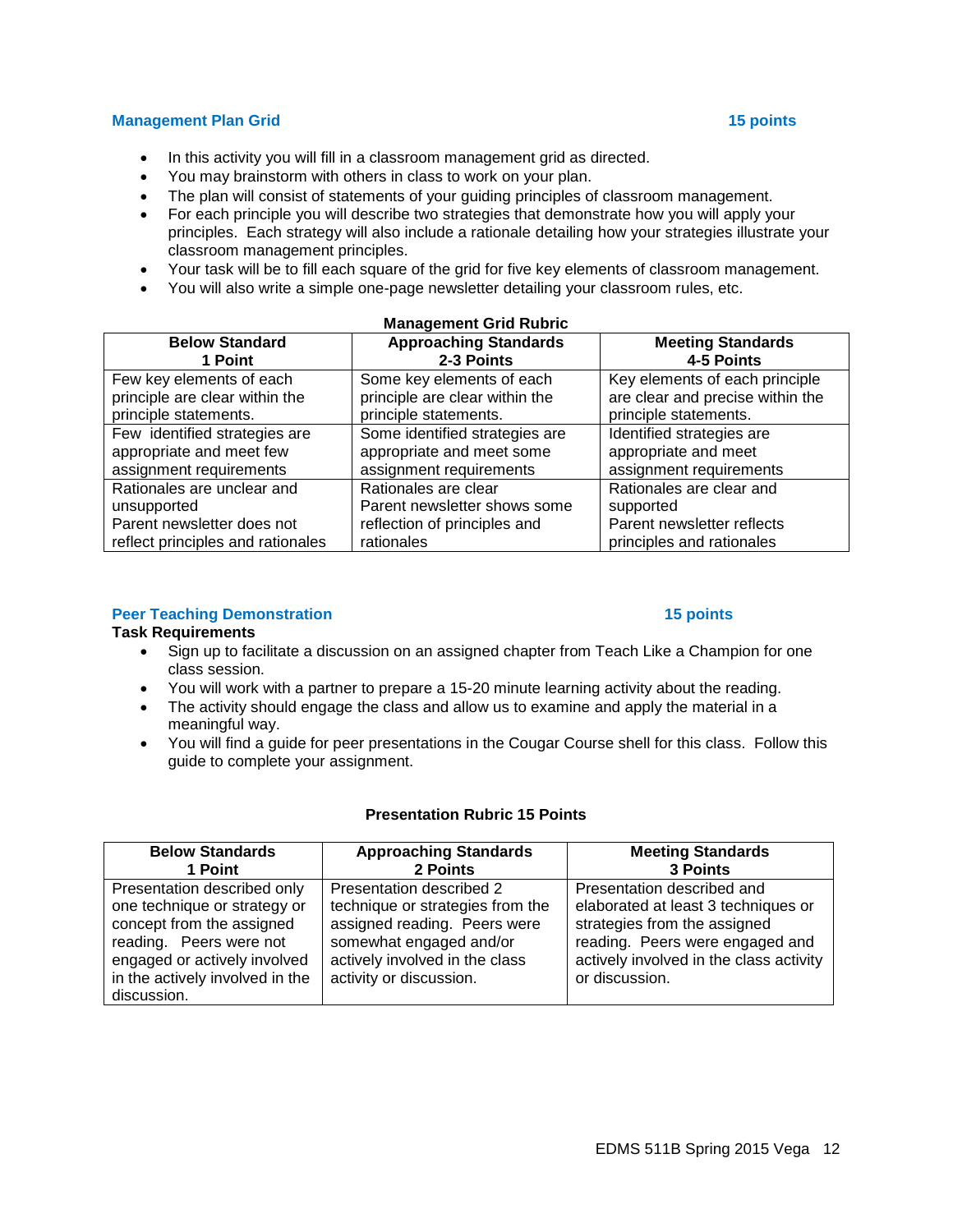# **Management Plan Grid 15 points**

- In this activity you will fill in a classroom management grid as directed.
- You may brainstorm with others in class to work on your plan.
- The plan will consist of statements of your guiding principles of classroom management.
- For each principle you will describe two strategies that demonstrate how you will apply your principles. Each strategy will also include a rationale detailing how your strategies illustrate your classroom management principles.
- Your task will be to fill each square of the grid for five key elements of classroom management.
- You will also write a simple one-page newsletter detailing your classroom rules, etc.

| <b>Management Grid Rubric</b>     |                                |                                  |  |
|-----------------------------------|--------------------------------|----------------------------------|--|
| <b>Below Standard</b>             | <b>Approaching Standards</b>   | <b>Meeting Standards</b>         |  |
| 1 Point                           | 2-3 Points                     | 4-5 Points                       |  |
| Few key elements of each          | Some key elements of each      | Key elements of each principle   |  |
| principle are clear within the    | principle are clear within the | are clear and precise within the |  |
| principle statements.             | principle statements.          | principle statements.            |  |
| Few identified strategies are     | Some identified strategies are | Identified strategies are        |  |
| appropriate and meet few          | appropriate and meet some      | appropriate and meet             |  |
| assignment requirements           | assignment requirements        | assignment requirements          |  |
| Rationales are unclear and        | Rationales are clear           | Rationales are clear and         |  |
| unsupported                       | Parent newsletter shows some   | supported                        |  |
| Parent newsletter does not        | reflection of principles and   | Parent newsletter reflects       |  |
| reflect principles and rationales | rationales                     | principles and rationales        |  |

#### **Peer Teaching Demonstration 15 points** 15 points

#### **Task Requirements**

- Sign up to facilitate a discussion on an assigned chapter from Teach Like a Champion for one class session.
- You will work with a partner to prepare a 15-20 minute learning activity about the reading.
- The activity should engage the class and allow us to examine and apply the material in a meaningful way.
- You will find a guide for peer presentations in the Cougar Course shell for this class. Follow this guide to complete your assignment.

#### **Presentation Rubric 15 Points**

| <b>Below Standards</b>          | <b>Approaching Standards</b>     | <b>Meeting Standards</b>                |
|---------------------------------|----------------------------------|-----------------------------------------|
| 1 Point                         | 2 Points                         | 3 Points                                |
| Presentation described only     | Presentation described 2         | Presentation described and              |
| one technique or strategy or    | technique or strategies from the | elaborated at least 3 techniques or     |
| concept from the assigned       | assigned reading. Peers were     | strategies from the assigned            |
| reading. Peers were not         | somewhat engaged and/or          | reading. Peers were engaged and         |
| engaged or actively involved    | actively involved in the class   | actively involved in the class activity |
| in the actively involved in the | activity or discussion.          | or discussion.                          |
| discussion.                     |                                  |                                         |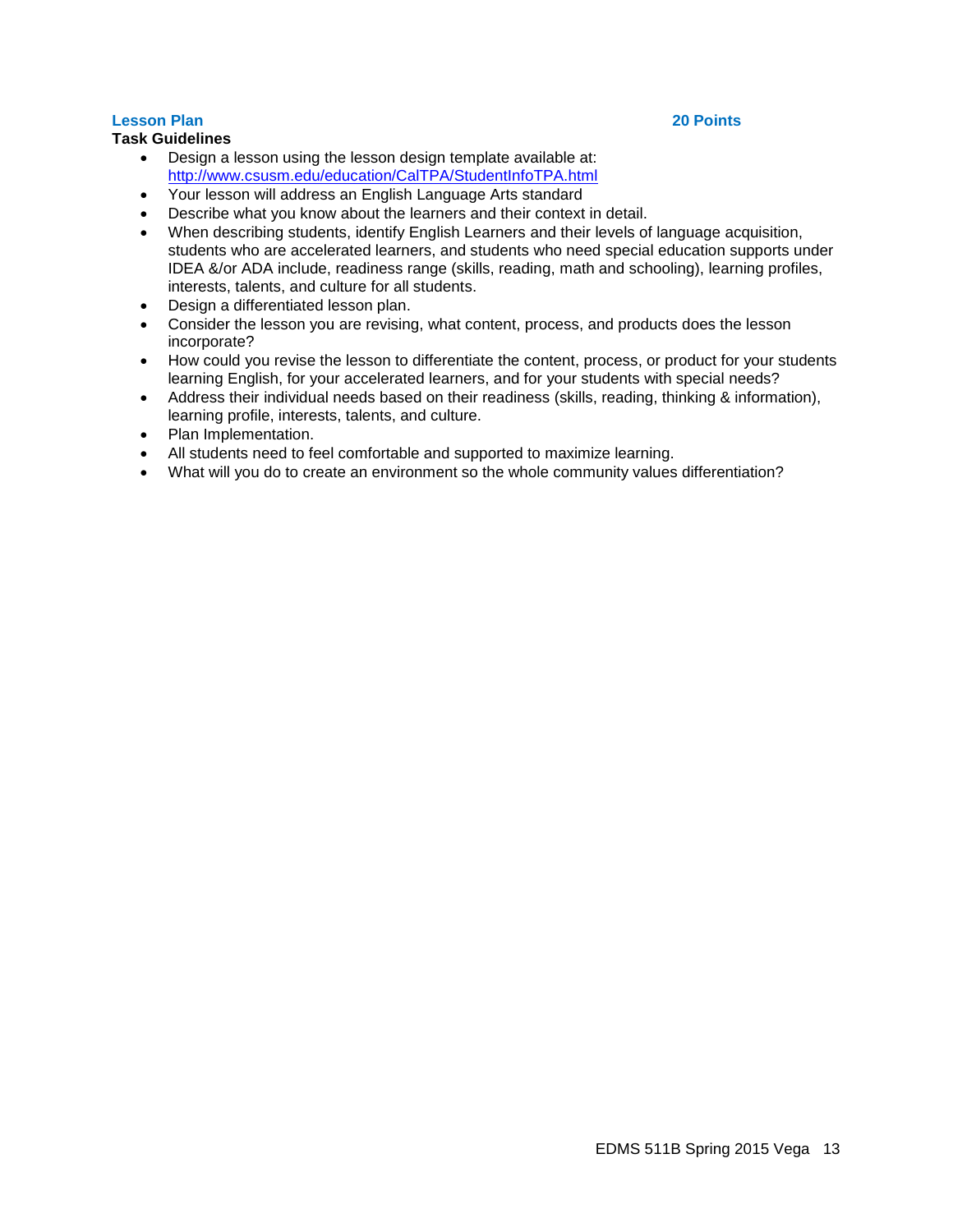# **Lesson Plan 20 Points**

# **Task Guidelines**

- Design a lesson using the lesson design template available at: <http://www.csusm.edu/education/CalTPA/StudentInfoTPA.html>
- Your lesson will address an English Language Arts standard
- Describe what you know about the learners and their context in detail.
- When describing students, identify English Learners and their levels of language acquisition, students who are accelerated learners, and students who need special education supports under IDEA &/or ADA include, readiness range (skills, reading, math and schooling), learning profiles, interests, talents, and culture for all students.
- Design a differentiated lesson plan.
- Consider the lesson you are revising, what content, process, and products does the lesson incorporate?
- How could you revise the lesson to differentiate the content, process, or product for your students learning English, for your accelerated learners, and for your students with special needs?
- Address their individual needs based on their readiness (skills, reading, thinking & information), learning profile, interests, talents, and culture.
- Plan Implementation.
- All students need to feel comfortable and supported to maximize learning.
- What will you do to create an environment so the whole community values differentiation?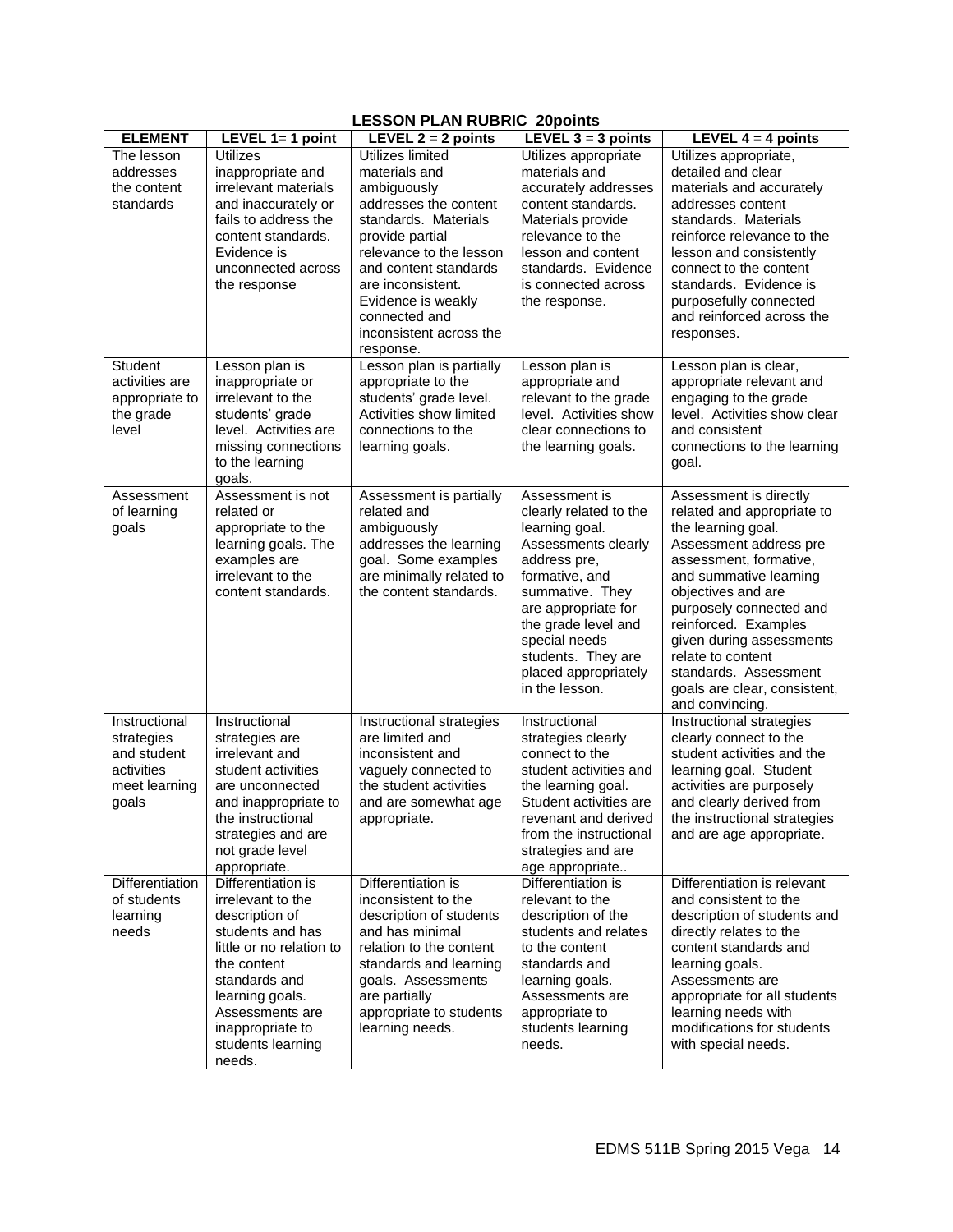# **LESSON PLAN RUBRIC 20points**

| <b>ELEMENT</b>                                                                     | LEVEL $1=1$ point                                                                                                                                                                                                                  | LEVEL $2 = 2$ points                                                                                                                                                                                                                                                         | $-1$<br>----<br>LEVEL $3 = 3$ points                                                                                                                                                                                                                                 | LEVEL $4 = 4$ points                                                                                                                                                                                                                                                                                                                                           |
|------------------------------------------------------------------------------------|------------------------------------------------------------------------------------------------------------------------------------------------------------------------------------------------------------------------------------|------------------------------------------------------------------------------------------------------------------------------------------------------------------------------------------------------------------------------------------------------------------------------|----------------------------------------------------------------------------------------------------------------------------------------------------------------------------------------------------------------------------------------------------------------------|----------------------------------------------------------------------------------------------------------------------------------------------------------------------------------------------------------------------------------------------------------------------------------------------------------------------------------------------------------------|
| The lesson<br>addresses<br>the content<br>standards                                | <b>Utilizes</b><br>inappropriate and<br>irrelevant materials<br>and inaccurately or<br>fails to address the<br>content standards.<br>Evidence is<br>unconnected across<br>the response                                             | Utilizes limited<br>materials and<br>ambiguously<br>addresses the content<br>standards. Materials<br>provide partial<br>relevance to the lesson<br>and content standards<br>are inconsistent.<br>Evidence is weakly<br>connected and<br>inconsistent across the<br>response. | Utilizes appropriate<br>materials and<br>accurately addresses<br>content standards.<br>Materials provide<br>relevance to the<br>lesson and content<br>standards. Evidence<br>is connected across<br>the response.                                                    | Utilizes appropriate,<br>detailed and clear<br>materials and accurately<br>addresses content<br>standards. Materials<br>reinforce relevance to the<br>lesson and consistently<br>connect to the content<br>standards. Evidence is<br>purposefully connected<br>and reinforced across the<br>responses.                                                         |
| <b>Student</b><br>activities are<br>appropriate to<br>the grade<br>level           | Lesson plan is<br>inappropriate or<br>irrelevant to the<br>students' grade<br>level. Activities are<br>missing connections<br>to the learning<br>goals.                                                                            | Lesson plan is partially<br>appropriate to the<br>students' grade level.<br>Activities show limited<br>connections to the<br>learning goals.                                                                                                                                 | Lesson plan is<br>appropriate and<br>relevant to the grade<br>level. Activities show<br>clear connections to<br>the learning goals.                                                                                                                                  | Lesson plan is clear,<br>appropriate relevant and<br>engaging to the grade<br>level. Activities show clear<br>and consistent<br>connections to the learning<br>goal.                                                                                                                                                                                           |
| Assessment<br>of learning<br>goals                                                 | Assessment is not<br>related or<br>appropriate to the<br>learning goals. The<br>examples are<br>irrelevant to the<br>content standards.                                                                                            | Assessment is partially<br>related and<br>ambiguously<br>addresses the learning<br>goal. Some examples<br>are minimally related to<br>the content standards.                                                                                                                 | Assessment is<br>clearly related to the<br>learning goal.<br>Assessments clearly<br>address pre,<br>formative, and<br>summative. They<br>are appropriate for<br>the grade level and<br>special needs<br>students. They are<br>placed appropriately<br>in the lesson. | Assessment is directly<br>related and appropriate to<br>the learning goal.<br>Assessment address pre<br>assessment, formative,<br>and summative learning<br>objectives and are<br>purposely connected and<br>reinforced. Examples<br>given during assessments<br>relate to content<br>standards. Assessment<br>goals are clear, consistent,<br>and convincing. |
| Instructional<br>strategies<br>and student<br>activities<br>meet learning<br>goals | Instructional<br>strategies are<br>irrelevant and<br>student activities<br>are unconnected<br>and inappropriate to<br>the instructional<br>strategies and are<br>not grade level<br>appropriate.                                   | Instructional strategies<br>are limited and<br>inconsistent and<br>vaguely connected to<br>the student activities<br>and are somewhat age<br>appropriate.                                                                                                                    | Instructional<br>strategies clearly<br>connect to the<br>student activities and<br>the learning goal.<br>Student activities are<br>revenant and derived<br>from the instructional<br>strategies and are<br>age appropriate                                           | Instructional strategies<br>clearly connect to the<br>student activities and the<br>learning goal. Student<br>activities are purposely<br>and clearly derived from<br>the instructional strategies<br>and are age appropriate.                                                                                                                                 |
| Differentiation<br>of students<br>learning<br>needs                                | Differentiation is<br>irrelevant to the<br>description of<br>students and has<br>little or no relation to<br>the content<br>standards and<br>learning goals.<br>Assessments are<br>inappropriate to<br>students learning<br>needs. | Differentiation is<br>inconsistent to the<br>description of students<br>and has minimal<br>relation to the content<br>standards and learning<br>goals. Assessments<br>are partially<br>appropriate to students<br>learning needs.                                            | Differentiation is<br>relevant to the<br>description of the<br>students and relates<br>to the content<br>standards and<br>learning goals.<br>Assessments are<br>appropriate to<br>students learning<br>needs.                                                        | Differentiation is relevant<br>and consistent to the<br>description of students and<br>directly relates to the<br>content standards and<br>learning goals.<br>Assessments are<br>appropriate for all students<br>learning needs with<br>modifications for students<br>with special needs.                                                                      |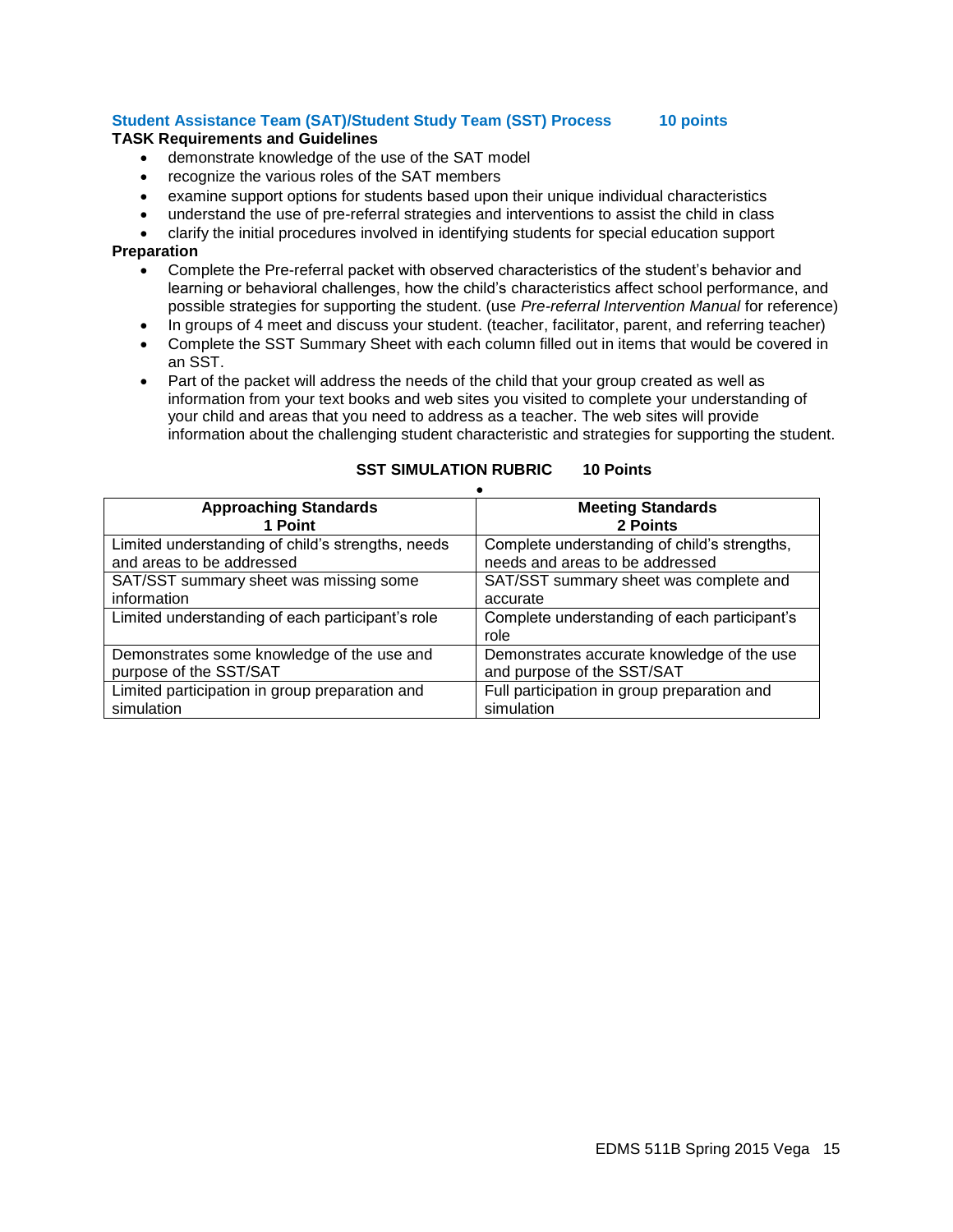# **Student Assistance Team (SAT)/Student Study Team (SST) Process 10 points**

#### **TASK Requirements and Guidelines**

- demonstrate knowledge of the use of the SAT model
- recognize the various roles of the SAT members
- examine support options for students based upon their unique individual characteristics
- understand the use of pre-referral strategies and interventions to assist the child in class
- clarify the initial procedures involved in identifying students for special education support

#### **Preparation**

- Complete the Pre-referral packet with observed characteristics of the student's behavior and learning or behavioral challenges, how the child's characteristics affect school performance, and possible strategies for supporting the student. (use *Pre-referral Intervention Manual* for reference)
- In groups of 4 meet and discuss your student. (teacher, facilitator, parent, and referring teacher)
- Complete the SST Summary Sheet with each column filled out in items that would be covered in an SST.
- Part of the packet will address the needs of the child that your group created as well as information from your text books and web sites you visited to complete your understanding of your child and areas that you need to address as a teacher. The web sites will provide information about the challenging student characteristic and strategies for supporting the student.

| <b>Approaching Standards</b>                      | <b>Meeting Standards</b>                             |  |  |  |  |
|---------------------------------------------------|------------------------------------------------------|--|--|--|--|
| 1 Point                                           | 2 Points                                             |  |  |  |  |
| Limited understanding of child's strengths, needs | Complete understanding of child's strengths,         |  |  |  |  |
| and areas to be addressed                         | needs and areas to be addressed                      |  |  |  |  |
| SAT/SST summary sheet was missing some            | SAT/SST summary sheet was complete and               |  |  |  |  |
| information                                       | accurate                                             |  |  |  |  |
| Limited understanding of each participant's role  | Complete understanding of each participant's<br>role |  |  |  |  |
| Demonstrates some knowledge of the use and        | Demonstrates accurate knowledge of the use           |  |  |  |  |
| purpose of the SST/SAT                            | and purpose of the SST/SAT                           |  |  |  |  |
| Limited participation in group preparation and    | Full participation in group preparation and          |  |  |  |  |
| simulation                                        | simulation                                           |  |  |  |  |

# **SST SIMULATION RUBRIC 10 Points**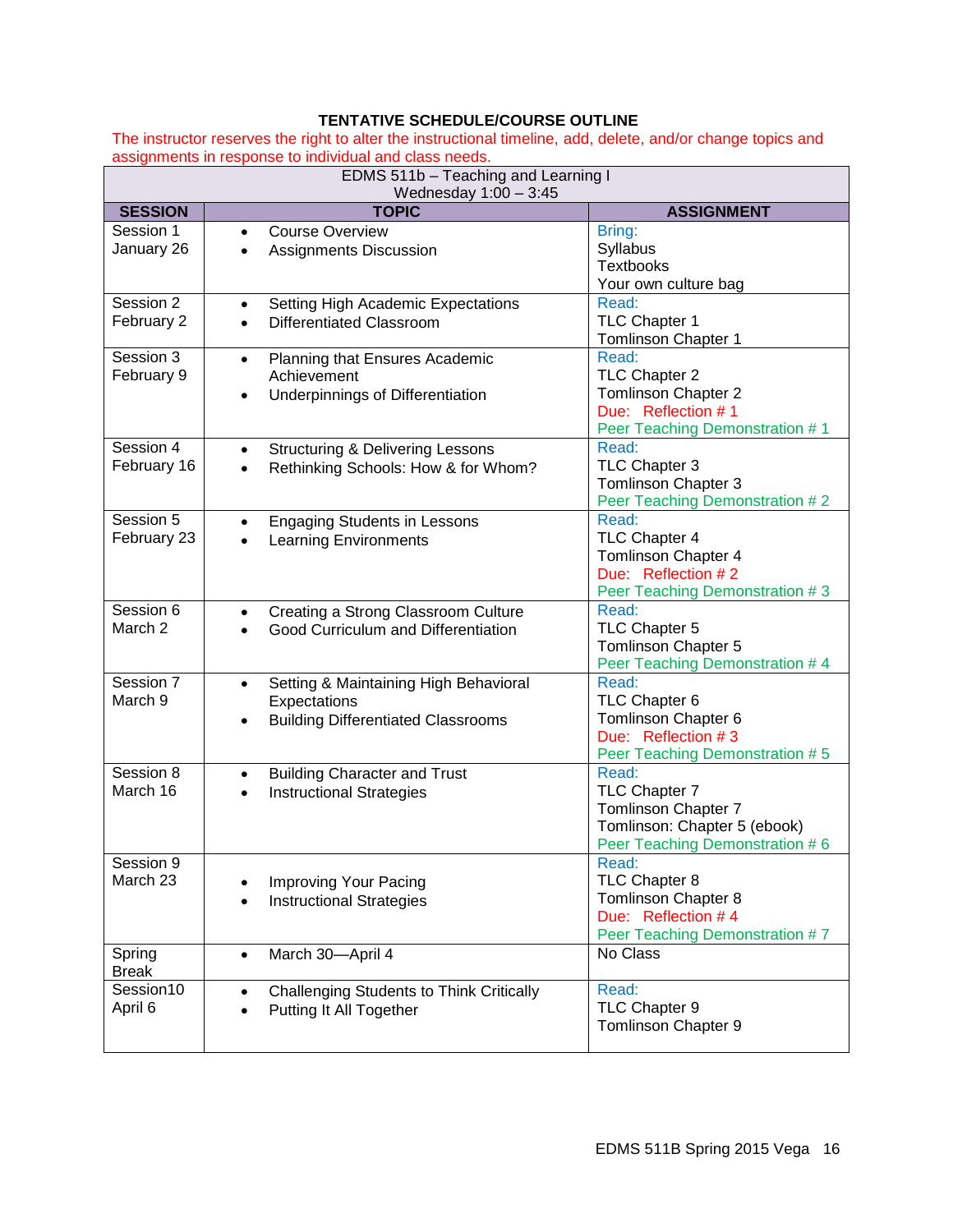# <span id="page-15-0"></span>**TENTATIVE SCHEDULE/COURSE OUTLINE**

The instructor reserves the right to alter the instructional timeline, add, delete, and/or change topics and assignments in response to individual and class needs.

| EDMS 511b - Teaching and Learning I<br>Wednesday $1:00 - 3:45$ |                                                                                                                              |                                                                                                                 |  |  |  |
|----------------------------------------------------------------|------------------------------------------------------------------------------------------------------------------------------|-----------------------------------------------------------------------------------------------------------------|--|--|--|
| <b>SESSION</b>                                                 | <b>TOPIC</b>                                                                                                                 | <b>ASSIGNMENT</b>                                                                                               |  |  |  |
| Session 1<br>January 26                                        | <b>Course Overview</b><br>$\bullet$<br><b>Assignments Discussion</b>                                                         | Bring:<br>Syllabus<br>Textbooks<br>Your own culture bag                                                         |  |  |  |
| Session 2<br>February 2                                        | Setting High Academic Expectations<br><b>Differentiated Classroom</b>                                                        | Read:<br>TLC Chapter 1<br>Tomlinson Chapter 1                                                                   |  |  |  |
| Session 3<br>February 9                                        | Planning that Ensures Academic<br>$\bullet$<br>Achievement<br>Underpinnings of Differentiation<br>$\bullet$                  | Read:<br>TLC Chapter 2<br>Tomlinson Chapter 2<br>Due: Reflection #1<br>Peer Teaching Demonstration #1           |  |  |  |
| Session 4<br>February 16                                       | <b>Structuring &amp; Delivering Lessons</b><br>$\bullet$<br>Rethinking Schools: How & for Whom?<br>$\bullet$                 | Read:<br>TLC Chapter 3<br><b>Tomlinson Chapter 3</b><br>Peer Teaching Demonstration #2                          |  |  |  |
| Session 5<br>February 23                                       | <b>Engaging Students in Lessons</b><br>$\bullet$<br><b>Learning Environments</b>                                             | Read:<br>TLC Chapter 4<br>Tomlinson Chapter 4<br>Due: Reflection #2<br>Peer Teaching Demonstration #3           |  |  |  |
| Session 6<br>March 2                                           | Creating a Strong Classroom Culture<br>$\bullet$<br>Good Curriculum and Differentiation                                      | Read:<br>TLC Chapter 5<br>Tomlinson Chapter 5<br>Peer Teaching Demonstration # 4                                |  |  |  |
| Session 7<br>March 9                                           | Setting & Maintaining High Behavioral<br>$\bullet$<br>Expectations<br><b>Building Differentiated Classrooms</b><br>$\bullet$ | Read:<br>TLC Chapter 6<br>Tomlinson Chapter 6<br>Due: Reflection #3<br>Peer Teaching Demonstration #5           |  |  |  |
| Session 8<br>March 16                                          | <b>Building Character and Trust</b><br>$\bullet$<br><b>Instructional Strategies</b><br>$\bullet$                             | Read:<br>TLC Chapter 7<br>Tomlinson Chapter 7<br>Tomlinson: Chapter 5 (ebook)<br>Peer Teaching Demonstration #6 |  |  |  |
| Session 9<br>March 23                                          | Improving Your Pacing<br><b>Instructional Strategies</b>                                                                     | Read:<br>TLC Chapter 8<br>Tomlinson Chapter 8<br>Due: Reflection #4<br>Peer Teaching Demonstration #7           |  |  |  |
| Spring<br><b>Break</b>                                         | March 30-April 4<br>$\bullet$                                                                                                | No Class                                                                                                        |  |  |  |
| Session10<br>April 6                                           | <b>Challenging Students to Think Critically</b><br>$\bullet$<br>Putting It All Together<br>$\bullet$                         | Read:<br>TLC Chapter 9<br>Tomlinson Chapter 9                                                                   |  |  |  |